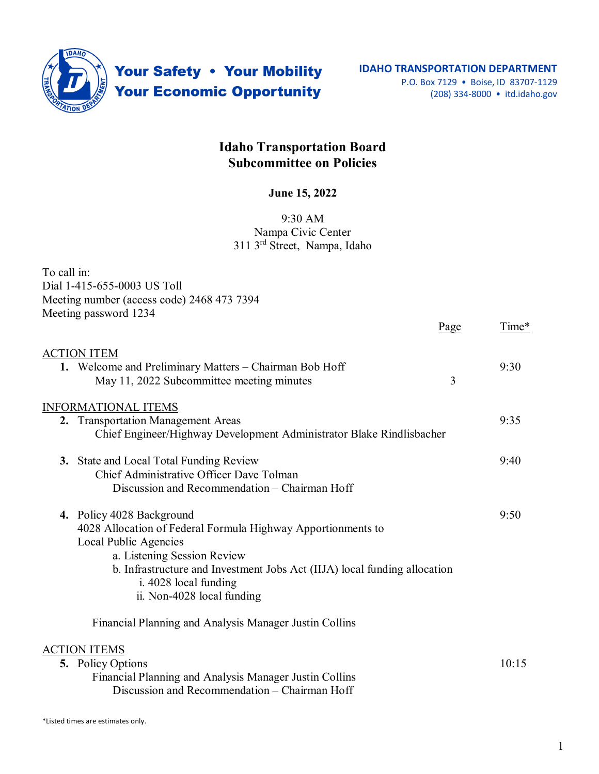

Your Safety . Your Mobility **Your Economic Opportunity** 

## **Idaho Transportation Board Subcommittee on Policies**

## **June 15, 2022**

## 9:30 AM Nampa Civic Center 311 3rd Street, Nampa, Idaho

| To call in:                                                                           |      |       |
|---------------------------------------------------------------------------------------|------|-------|
| Dial 1-415-655-0003 US Toll                                                           |      |       |
| Meeting number (access code) 2468 473 7394                                            |      |       |
| Meeting password 1234                                                                 |      |       |
|                                                                                       | Page | Time* |
| <b>ACTION ITEM</b>                                                                    |      |       |
| 1. Welcome and Preliminary Matters - Chairman Bob Hoff                                |      | 9:30  |
| May 11, 2022 Subcommittee meeting minutes                                             | 3    |       |
| <b>INFORMATIONAL ITEMS</b>                                                            |      |       |
| 2. Transportation Management Areas                                                    |      | 9:35  |
| Chief Engineer/Highway Development Administrator Blake Rindlisbacher                  |      |       |
| <b>3.</b> State and Local Total Funding Review                                        |      | 9:40  |
| Chief Administrative Officer Dave Tolman                                              |      |       |
| Discussion and Recommendation - Chairman Hoff                                         |      |       |
| 4. Policy 4028 Background                                                             |      | 9:50  |
| 4028 Allocation of Federal Formula Highway Apportionments to<br>Local Public Agencies |      |       |
| a. Listening Session Review                                                           |      |       |
| b. Infrastructure and Investment Jobs Act (IIJA) local funding allocation             |      |       |
| i. 4028 local funding                                                                 |      |       |
| ii. Non-4028 local funding                                                            |      |       |
| Financial Planning and Analysis Manager Justin Collins                                |      |       |
| <b>ACTION ITEMS</b>                                                                   |      |       |
| 5. Policy Options                                                                     |      | 10:15 |
| Financial Planning and Analysis Manager Justin Collins                                |      |       |

Discussion and Recommendation – Chairman Hoff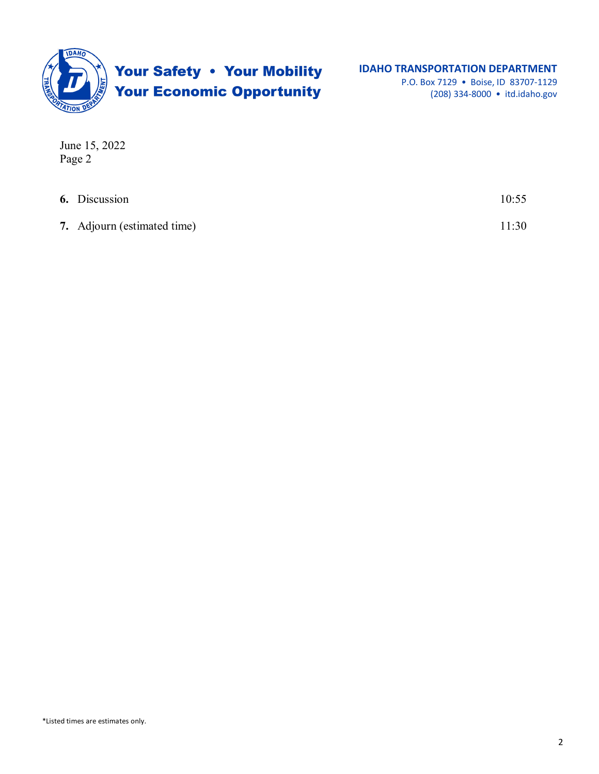

(208) 334-8000 • itd.idaho.gov

June 15, 2022 Page 2

| <b>6.</b> Discussion        | 10:55 |
|-----------------------------|-------|
| 7. Adjourn (estimated time) | 11:30 |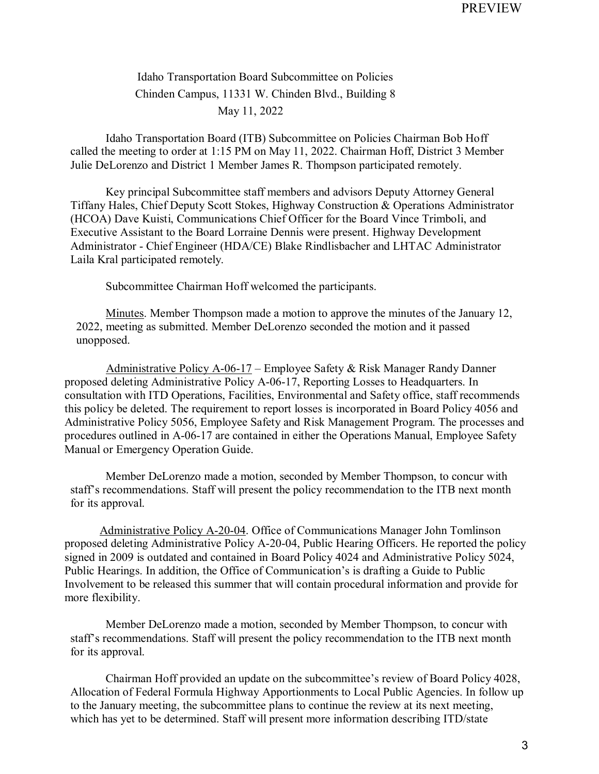Idaho Transportation Board Subcommittee on Policies Chinden Campus, 11331 W. Chinden Blvd., Building 8 May 11, 2022

Idaho Transportation Board (ITB) Subcommittee on Policies Chairman Bob Hoff called the meeting to order at 1:15 PM on May 11, 2022. Chairman Hoff, District 3 Member Julie DeLorenzo and District 1 Member James R. Thompson participated remotely.

Key principal Subcommittee staff members and advisors Deputy Attorney General Tiffany Hales, Chief Deputy Scott Stokes, Highway Construction & Operations Administrator (HCOA) Dave Kuisti, Communications Chief Officer for the Board Vince Trimboli, and Executive Assistant to the Board Lorraine Dennis were present. Highway Development Administrator - Chief Engineer (HDA/CE) Blake Rindlisbacher and LHTAC Administrator Laila Kral participated remotely.

Subcommittee Chairman Hoff welcomed the participants.

Minutes. Member Thompson made a motion to approve the minutes of the January 12, 2022, meeting as submitted. Member DeLorenzo seconded the motion and it passed unopposed.

 Administrative Policy A-06-17 – Employee Safety & Risk Manager Randy Danner proposed deleting Administrative Policy A-06-17, Reporting Losses to Headquarters. In consultation with ITD Operations, Facilities, Environmental and Safety office, staff recommends this policy be deleted. The requirement to report losses is incorporated in Board Policy 4056 and Administrative Policy 5056, Employee Safety and Risk Management Program. The processes and procedures outlined in A-06-17 are contained in either the Operations Manual, Employee Safety Manual or Emergency Operation Guide.

Member DeLorenzo made a motion, seconded by Member Thompson, to concur with staff's recommendations. Staff will present the policy recommendation to the ITB next month for its approval.

Administrative Policy A-20-04. Office of Communications Manager John Tomlinson proposed deleting Administrative Policy A-20-04, Public Hearing Officers. He reported the policy signed in 2009 is outdated and contained in Board Policy 4024 and Administrative Policy 5024, Public Hearings. In addition, the Office of Communication's is drafting a Guide to Public Involvement to be released this summer that will contain procedural information and provide for more flexibility.

Member DeLorenzo made a motion, seconded by Member Thompson, to concur with staff's recommendations. Staff will present the policy recommendation to the ITB next month for its approval.

Chairman Hoff provided an update on the subcommittee's review of Board Policy 4028, Allocation of Federal Formula Highway Apportionments to Local Public Agencies. In follow up to the January meeting, the subcommittee plans to continue the review at its next meeting, which has yet to be determined. Staff will present more information describing ITD/state